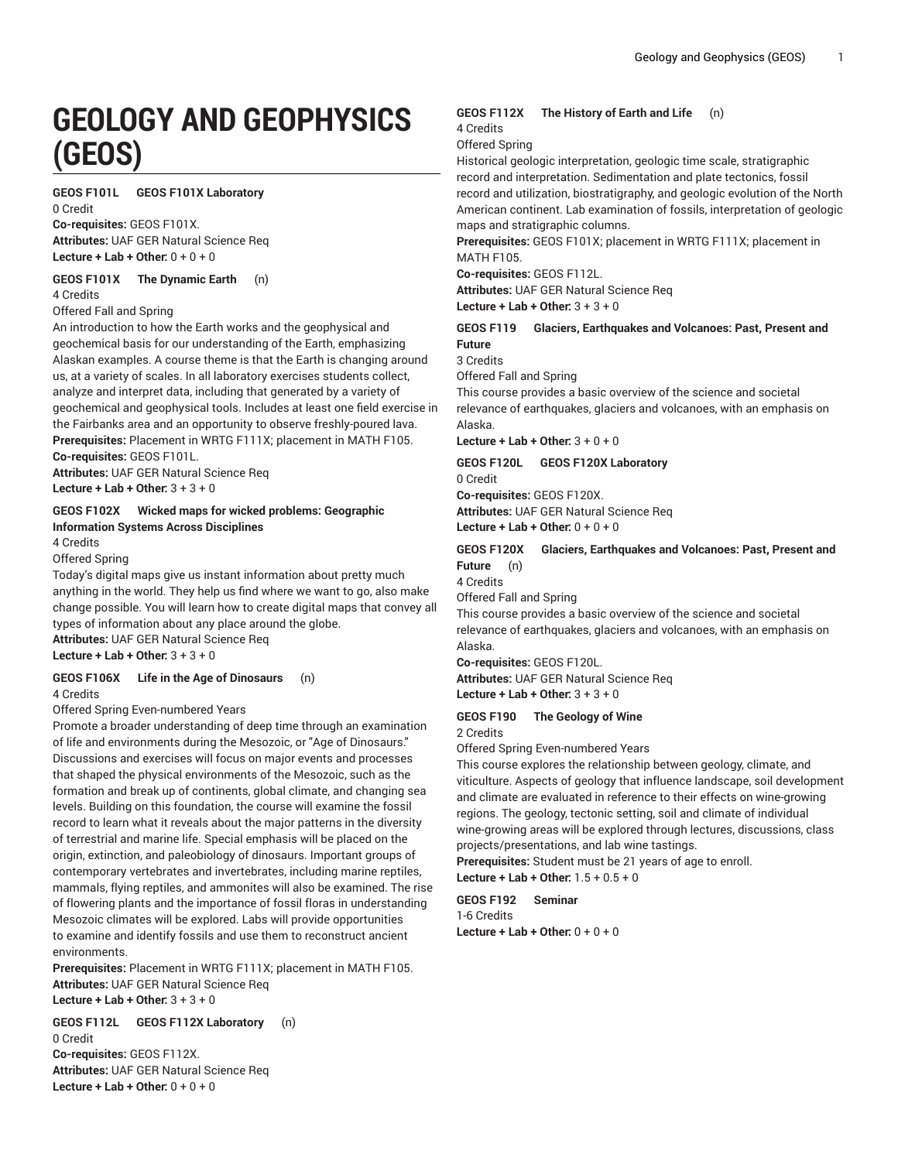# **GEOLOGY AND GEOPHYSICS (GEOS)**

**GEOS F101L GEOS F101X Laboratory**

0 Credit **Co-requisites:** GEOS F101X. **Attributes:** UAF GER Natural Science Req

**Lecture + Lab + Other:** 0 + 0 + 0

**GEOS F101X The Dynamic Earth** (n) 4 Credits

Offered Fall and Spring

An introduction to how the Earth works and the geophysical and geochemical basis for our understanding of the Earth, emphasizing Alaskan examples. A course theme is that the Earth is changing around us, at a variety of scales. In all laboratory exercises students collect, analyze and interpret data, including that generated by a variety of geochemical and geophysical tools. Includes at least one field exercise in the Fairbanks area and an opportunity to observe freshly-poured lava. **Prerequisites:** Placement in WRTG F111X; placement in MATH F105. **Co-requisites:** GEOS F101L.

**Attributes:** UAF GER Natural Science Req **Lecture + Lab + Other:** 3 + 3 + 0

#### **GEOS F102X Wicked maps for wicked problems: Geographic Information Systems Across Disciplines**

4 Credits

Offered Spring

Today's digital maps give us instant information about pretty much anything in the world. They help us find where we want to go, also make change possible. You will learn how to create digital maps that convey all types of information about any place around the globe.

**Attributes:** UAF GER Natural Science Req **Lecture + Lab + Other:** 3 + 3 + 0

**GEOS F106X Life in the Age of Dinosaurs** (n)

4 Credits

Offered Spring Even-numbered Years

Promote a broader understanding of deep time through an examination of life and environments during the Mesozoic, or "Age of Dinosaurs." Discussions and exercises will focus on major events and processes that shaped the physical environments of the Mesozoic, such as the formation and break up of continents, global climate, and changing sea levels. Building on this foundation, the course will examine the fossil record to learn what it reveals about the major patterns in the diversity of terrestrial and marine life. Special emphasis will be placed on the origin, extinction, and paleobiology of dinosaurs. Important groups of contemporary vertebrates and invertebrates, including marine reptiles, mammals, flying reptiles, and ammonites will also be examined. The rise of flowering plants and the importance of fossil floras in understanding Mesozoic climates will be explored. Labs will provide opportunities to examine and identify fossils and use them to reconstruct ancient environments.

**Prerequisites:** Placement in WRTG F111X; placement in MATH F105. **Attributes:** UAF GER Natural Science Req **Lecture + Lab + Other:** 3 + 3 + 0

**GEOS F112L GEOS F112X Laboratory** (n) 0 Credit

**Co-requisites:** GEOS F112X. **Attributes:** UAF GER Natural Science Req **Lecture + Lab + Other:** 0 + 0 + 0

# **GEOS F112X The History of Earth and Life** (n)

4 Credits

Offered Spring

Historical geologic interpretation, geologic time scale, stratigraphic record and interpretation. Sedimentation and plate tectonics, fossil record and utilization, biostratigraphy, and geologic evolution of the North American continent. Lab examination of fossils, interpretation of geologic maps and stratigraphic columns.

**Prerequisites:** GEOS F101X; placement in WRTG F111X; placement in MATH F105.

**Co-requisites:** GEOS F112L.

**Attributes:** UAF GER Natural Science Req

**Lecture + Lab + Other:** 3 + 3 + 0

**GEOS F119 Glaciers, Earthquakes and Volcanoes: Past, Present and Future**

3 Credits

Offered Fall and Spring

This course provides a basic overview of the science and societal relevance of earthquakes, glaciers and volcanoes, with an emphasis on Alaska.

**Lecture + Lab + Other:** 3 + 0 + 0

**GEOS F120L GEOS F120X Laboratory** 0 Credit

**Co-requisites:** GEOS F120X.

**Attributes:** UAF GER Natural Science Req **Lecture + Lab + Other:** 0 + 0 + 0

**GEOS F120X Glaciers, Earthquakes and Volcanoes: Past, Present and Future** (n)

4 Credits

Offered Fall and Spring

This course provides a basic overview of the science and societal relevance of earthquakes, glaciers and volcanoes, with an emphasis on Alaska.

**Co-requisites:** GEOS F120L. **Attributes:** UAF GER Natural Science Req **Lecture + Lab + Other:** 3 + 3 + 0

**GEOS F190 The Geology of Wine**

2 Credits

Offered Spring Even-numbered Years

This course explores the relationship between geology, climate, and viticulture. Aspects of geology that influence landscape, soil development and climate are evaluated in reference to their effects on wine-growing regions. The geology, tectonic setting, soil and climate of individual wine-growing areas will be explored through lectures, discussions, class projects/presentations, and lab wine tastings.

**Prerequisites:** Student must be 21 years of age to enroll. **Lecture + Lab + Other:** 1.5 + 0.5 + 0

**GEOS F192 Seminar** 1-6 Credits **Lecture + Lab + Other:** 0 + 0 + 0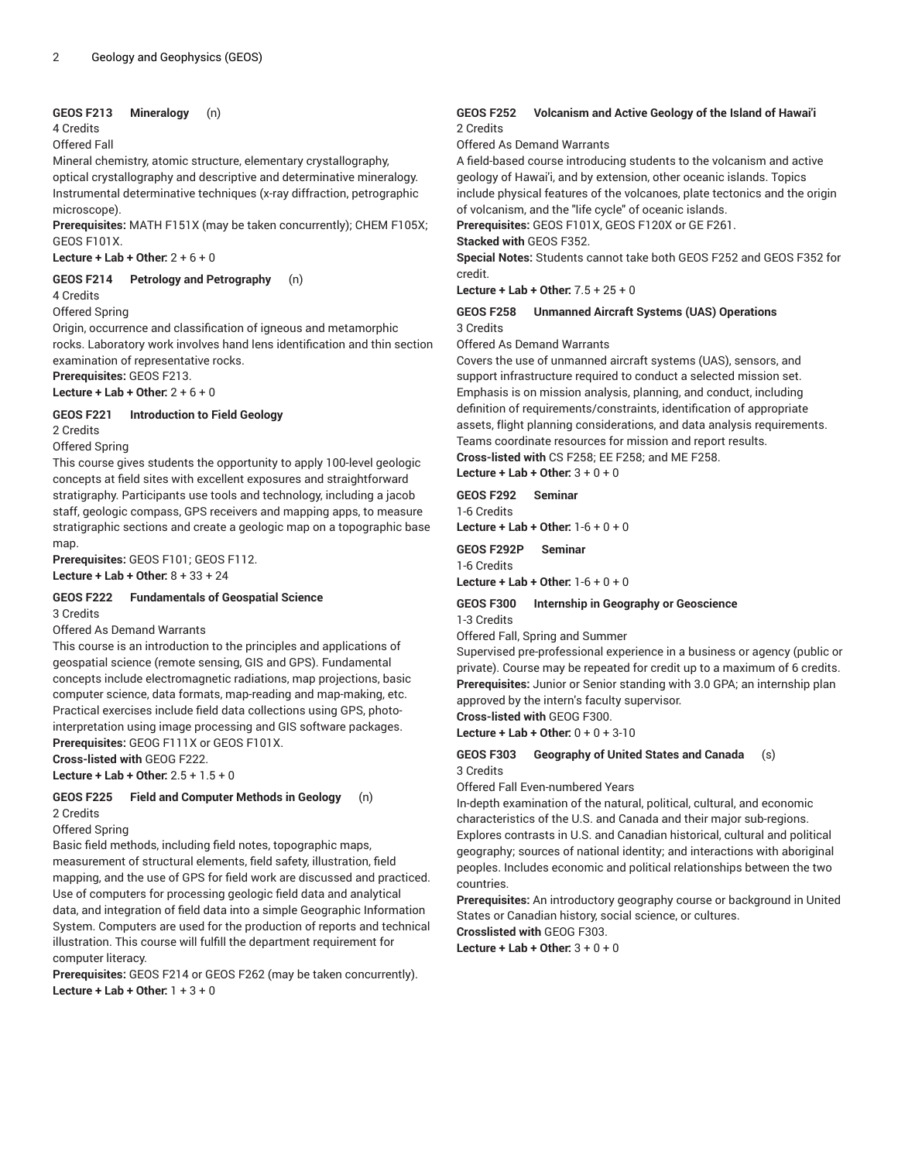#### **GEOS F213 Mineralogy** (n)

#### 4 Credits

#### Offered Fall

Mineral chemistry, atomic structure, elementary crystallography, optical crystallography and descriptive and determinative mineralogy. Instrumental determinative techniques (x-ray diffraction, petrographic microscope).

**Prerequisites:** MATH F151X (may be taken concurrently); CHEM F105X; GEOS F101X.

**Lecture + Lab + Other:** 2 + 6 + 0

**GEOS F214 Petrology and Petrography** (n)

4 Credits

Offered Spring

Origin, occurrence and classification of igneous and metamorphic rocks. Laboratory work involves hand lens identification and thin section examination of representative rocks.

**Prerequisites:** GEOS F213.

**Lecture + Lab + Other:** 2 + 6 + 0

#### **GEOS F221 Introduction to Field Geology**

2 Credits

Offered Spring

This course gives students the opportunity to apply 100-level geologic concepts at field sites with excellent exposures and straightforward stratigraphy. Participants use tools and technology, including a jacob staff, geologic compass, GPS receivers and mapping apps, to measure stratigraphic sections and create a geologic map on a topographic base map.

**Prerequisites:** GEOS F101; GEOS F112. **Lecture + Lab + Other:** 8 + 33 + 24

#### **GEOS F222 Fundamentals of Geospatial Science** 3 Credits

#### Offered As Demand Warrants

This course is an introduction to the principles and applications of geospatial science (remote sensing, GIS and GPS). Fundamental concepts include electromagnetic radiations, map projections, basic computer science, data formats, map-reading and map-making, etc. Practical exercises include field data collections using GPS, photointerpretation using image processing and GIS software packages. **Prerequisites:** GEOG F111X or GEOS F101X.

**Cross-listed with** GEOG F222.

**Lecture + Lab + Other:** 2.5 + 1.5 + 0

# **GEOS F225 Field and Computer Methods in Geology** (n)

2 Credits

Offered Spring

Basic field methods, including field notes, topographic maps, measurement of structural elements, field safety, illustration, field mapping, and the use of GPS for field work are discussed and practiced. Use of computers for processing geologic field data and analytical data, and integration of field data into a simple Geographic Information System. Computers are used for the production of reports and technical illustration. This course will fulfill the department requirement for computer literacy.

**Prerequisites:** GEOS F214 or GEOS F262 (may be taken concurrently). **Lecture + Lab + Other:** 1 + 3 + 0

#### **GEOS F252 Volcanism and Active Geology of the Island of Hawai'i** 2 Credits

Offered As Demand Warrants

A field-based course introducing students to the volcanism and active geology of Hawai'i, and by extension, other oceanic islands. Topics include physical features of the volcanoes, plate tectonics and the origin of volcanism, and the "life cycle" of oceanic islands.

**Prerequisites:** GEOS F101X, GEOS F120X or GE F261.

#### **Stacked with** GEOS F352.

**Special Notes:** Students cannot take both GEOS F252 and GEOS F352 for credit.

**Lecture + Lab + Other:** 7.5 + 25 + 0

#### **GEOS F258 Unmanned Aircraft Systems (UAS) Operations** 3 Credits

Offered As Demand Warrants

Covers the use of unmanned aircraft systems (UAS), sensors, and support infrastructure required to conduct a selected mission set. Emphasis is on mission analysis, planning, and conduct, including definition of requirements/constraints, identification of appropriate assets, flight planning considerations, and data analysis requirements. Teams coordinate resources for mission and report results. **Cross-listed with** CS F258; EE F258; and ME F258.

**Lecture + Lab + Other:** 3 + 0 + 0

**GEOS F292 Seminar**

1-6 Credits **Lecture + Lab + Other:** 1-6 + 0 + 0

**GEOS F292P Seminar**

1-6 Credits

**Lecture + Lab + Other:** 1-6 + 0 + 0

#### **GEOS F300 Internship in Geography or Geoscience** 1-3 Credits

Offered Fall, Spring and Summer

Supervised pre-professional experience in a business or agency (public or private). Course may be repeated for credit up to a maximum of 6 credits. **Prerequisites:** Junior or Senior standing with 3.0 GPA; an internship plan approved by the intern's faculty supervisor.

**Cross-listed with** GEOG F300.

**Lecture + Lab + Other:** 0 + 0 + 3-10

#### **GEOS F303 Geography of United States and Canada** (s) 3 Credits

Offered Fall Even-numbered Years

In-depth examination of the natural, political, cultural, and economic characteristics of the U.S. and Canada and their major sub-regions. Explores contrasts in U.S. and Canadian historical, cultural and political geography; sources of national identity; and interactions with aboriginal peoples. Includes economic and political relationships between the two countries.

**Prerequisites:** An introductory geography course or background in United States or Canadian history, social science, or cultures. **Crosslisted with** GEOG F303.

**Lecture + Lab + Other:** 3 + 0 + 0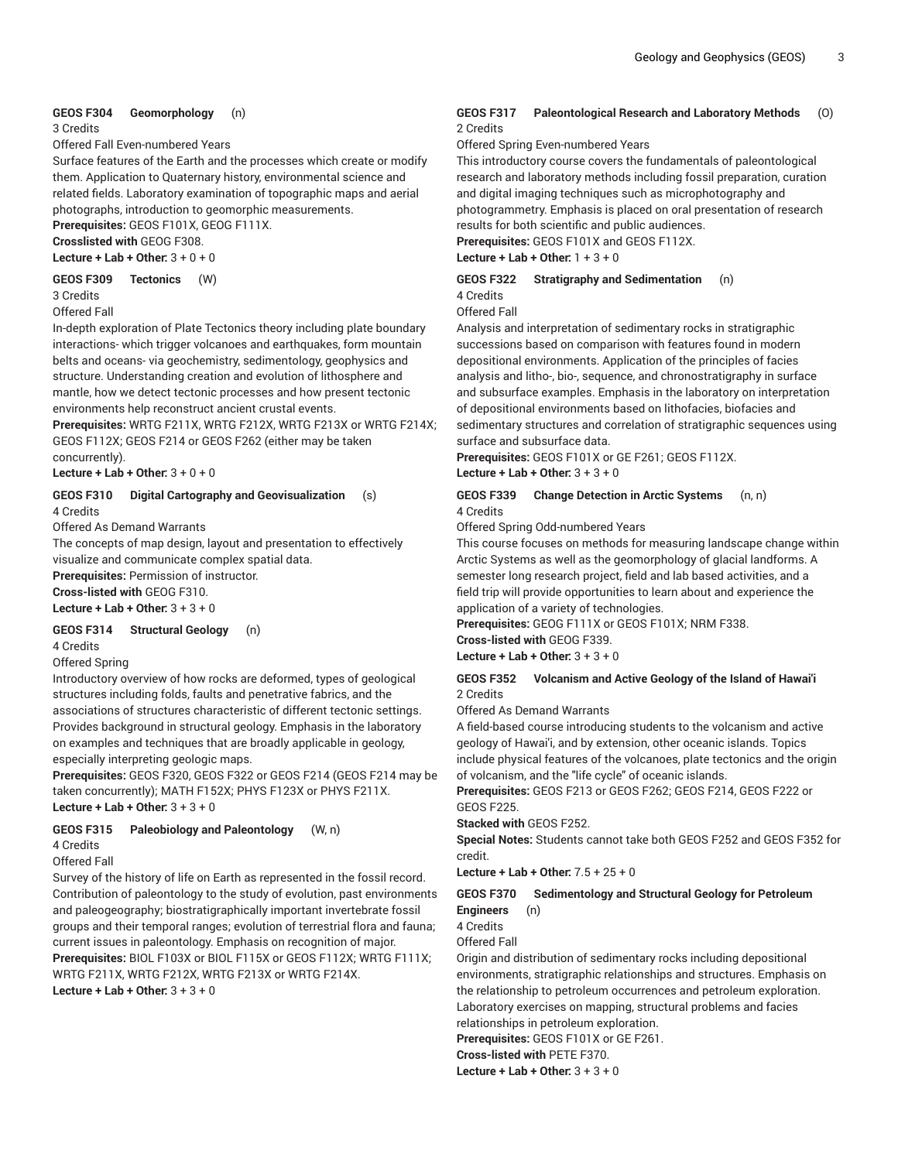#### **GEOS F304 Geomorphology** (n)

3 Credits

Offered Fall Even-numbered Years

Surface features of the Earth and the processes which create or modify them. Application to Quaternary history, environmental science and related fields. Laboratory examination of topographic maps and aerial photographs, introduction to geomorphic measurements.

**Prerequisites:** GEOS F101X, GEOG F111X.

**Crosslisted with** GEOG F308. **Lecture + Lab + Other:** 3 + 0 + 0

**GEOS F309 Tectonics** (W)

3 Credits

Offered Fall

In-depth exploration of Plate Tectonics theory including plate boundary interactions- which trigger volcanoes and earthquakes, form mountain belts and oceans- via geochemistry, sedimentology, geophysics and structure. Understanding creation and evolution of lithosphere and mantle, how we detect tectonic processes and how present tectonic environments help reconstruct ancient crustal events.

**Prerequisites:** WRTG F211X, WRTG F212X, WRTG F213X or WRTG F214X; GEOS F112X; GEOS F214 or GEOS F262 (either may be taken concurrently).

**Lecture + Lab + Other:** 3 + 0 + 0

#### **GEOS F310 Digital Cartography and Geovisualization** (s) 4 Credits

Offered As Demand Warrants

The concepts of map design, layout and presentation to effectively visualize and communicate complex spatial data.

**Prerequisites:** Permission of instructor. **Cross-listed with** GEOG F310.

**Lecture + Lab + Other:** 3 + 3 + 0

#### **GEOS F314 Structural Geology** (n)

4 Credits

#### Offered Spring

Introductory overview of how rocks are deformed, types of geological structures including folds, faults and penetrative fabrics, and the associations of structures characteristic of different tectonic settings. Provides background in structural geology. Emphasis in the laboratory on examples and techniques that are broadly applicable in geology, especially interpreting geologic maps.

**Prerequisites:** GEOS F320, GEOS F322 or GEOS F214 (GEOS F214 may be taken concurrently); MATH F152X; PHYS F123X or PHYS F211X. **Lecture + Lab + Other:** 3 + 3 + 0

#### **GEOS F315 Paleobiology and Paleontology** (W, n)

4 Credits

Offered Fall

Survey of the history of life on Earth as represented in the fossil record. Contribution of paleontology to the study of evolution, past environments and paleogeography; biostratigraphically important invertebrate fossil groups and their temporal ranges; evolution of terrestrial flora and fauna; current issues in paleontology. Emphasis on recognition of major. **Prerequisites:** BIOL F103X or BIOL F115X or GEOS F112X; WRTG F111X; WRTG F211X, WRTG F212X, WRTG F213X or WRTG F214X. **Lecture + Lab + Other:** 3 + 3 + 0

#### **GEOS F317 Paleontological Research and Laboratory Methods** (O) 2 Credits

Offered Spring Even-numbered Years

This introductory course covers the fundamentals of paleontological research and laboratory methods including fossil preparation, curation and digital imaging techniques such as microphotography and photogrammetry. Emphasis is placed on oral presentation of research results for both scientific and public audiences.

**Prerequisites:** GEOS F101X and GEOS F112X.

**Lecture + Lab + Other:** 1 + 3 + 0

#### **GEOS F322 Stratigraphy and Sedimentation** (n)

4 Credits

Offered Fall

Analysis and interpretation of sedimentary rocks in stratigraphic successions based on comparison with features found in modern depositional environments. Application of the principles of facies analysis and litho-, bio-, sequence, and chronostratigraphy in surface and subsurface examples. Emphasis in the laboratory on interpretation of depositional environments based on lithofacies, biofacies and sedimentary structures and correlation of stratigraphic sequences using surface and subsurface data.

**Prerequisites:** GEOS F101X or GE F261; GEOS F112X. **Lecture + Lab + Other:** 3 + 3 + 0

#### **GEOS F339 Change Detection in Arctic Systems** (n, n) 4 Credits

Offered Spring Odd-numbered Years

This course focuses on methods for measuring landscape change within Arctic Systems as well as the geomorphology of glacial landforms. A semester long research project, field and lab based activities, and a field trip will provide opportunities to learn about and experience the application of a variety of technologies.

**Prerequisites:** GEOG F111X or GEOS F101X; NRM F338.

# **Cross-listed with** GEOG F339.

**Lecture + Lab + Other:** 3 + 3 + 0

#### **GEOS F352 Volcanism and Active Geology of the Island of Hawai'i** 2 Credits

Offered As Demand Warrants

A field-based course introducing students to the volcanism and active geology of Hawai'i, and by extension, other oceanic islands. Topics include physical features of the volcanoes, plate tectonics and the origin of volcanism, and the "life cycle" of oceanic islands.

**Prerequisites:** GEOS F213 or GEOS F262; GEOS F214, GEOS F222 or GEOS F225.

#### **Stacked with** GEOS F252.

**Special Notes:** Students cannot take both GEOS F252 and GEOS F352 for credit.

**Lecture + Lab + Other:** 7.5 + 25 + 0

#### **GEOS F370 Sedimentology and Structural Geology for Petroleum Engineers** (n)

4 Credits

Offered Fall

Origin and distribution of sedimentary rocks including depositional environments, stratigraphic relationships and structures. Emphasis on the relationship to petroleum occurrences and petroleum exploration. Laboratory exercises on mapping, structural problems and facies relationships in petroleum exploration.

**Prerequisites:** GEOS F101X or GE F261.

**Cross-listed with** PETE F370.

**Lecture + Lab + Other:** 3 + 3 + 0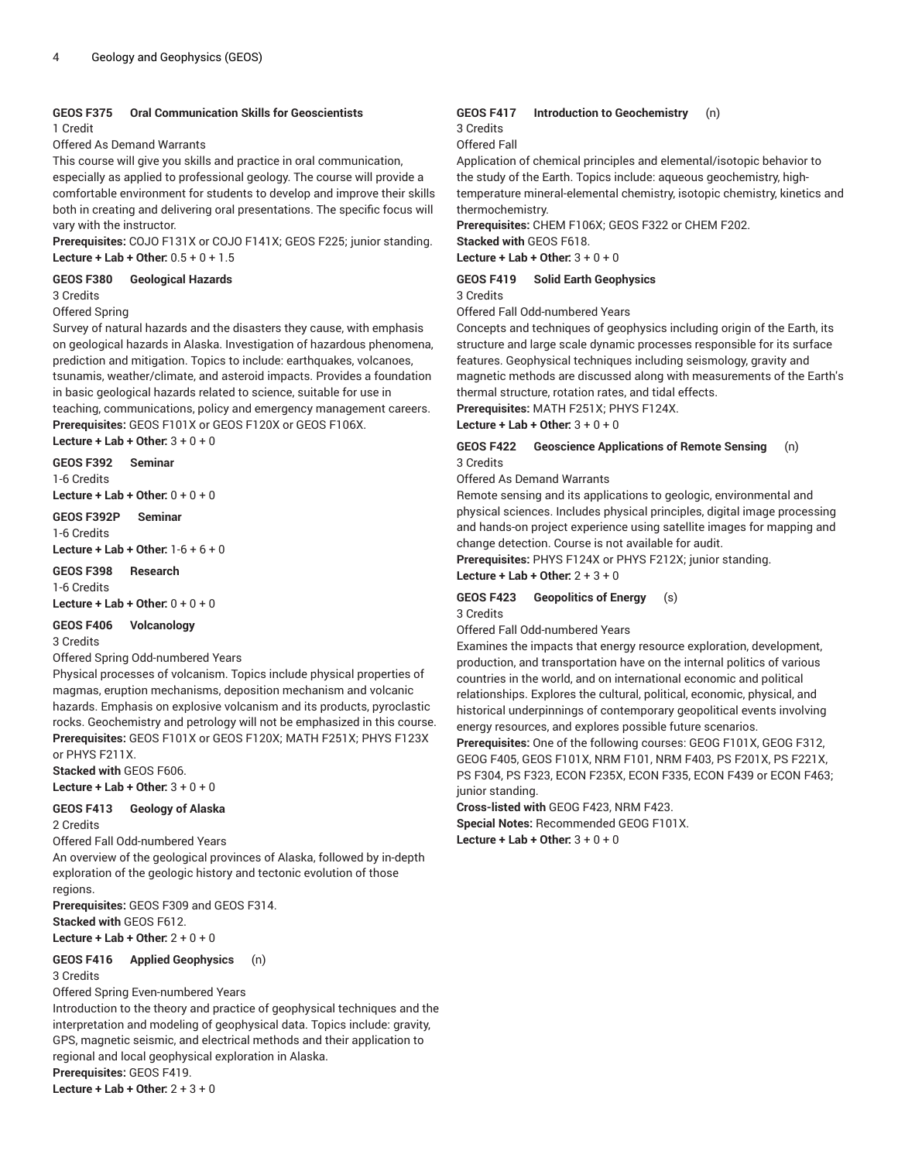# **GEOS F375 Oral Communication Skills for Geoscientists**

1 Credit

#### Offered As Demand Warrants

This course will give you skills and practice in oral communication,

especially as applied to professional geology. The course will provide a comfortable environment for students to develop and improve their skills both in creating and delivering oral presentations. The specific focus will vary with the instructor.

**Prerequisites:** COJO F131X or COJO F141X; GEOS F225; junior standing. **Lecture + Lab + Other:** 0.5 + 0 + 1.5

#### **GEOS F380 Geological Hazards**

3 Credits

#### Offered Spring

Survey of natural hazards and the disasters they cause, with emphasis on geological hazards in Alaska. Investigation of hazardous phenomena, prediction and mitigation. Topics to include: earthquakes, volcanoes, tsunamis, weather/climate, and asteroid impacts. Provides a foundation in basic geological hazards related to science, suitable for use in teaching, communications, policy and emergency management careers. **Prerequisites:** GEOS F101X or GEOS F120X or GEOS F106X.

**Lecture + Lab + Other:** 3 + 0 + 0

## **GEOS F392 Seminar**

1-6 Credits

**Lecture + Lab + Other:** 0 + 0 + 0

**GEOS F392P Seminar** 1-6 Credits **Lecture + Lab + Other:** 1-6 + 6 + 0

**GEOS F398 Research**

1-6 Credits **Lecture + Lab + Other:** 0 + 0 + 0

# **GEOS F406 Volcanology**

3 Credits

#### Offered Spring Odd-numbered Years

Physical processes of volcanism. Topics include physical properties of magmas, eruption mechanisms, deposition mechanism and volcanic hazards. Emphasis on explosive volcanism and its products, pyroclastic rocks. Geochemistry and petrology will not be emphasized in this course. **Prerequisites:** GEOS F101X or GEOS F120X; MATH F251X; PHYS F123X or PHYS F211X.

**Stacked with** GEOS F606.

**Lecture + Lab + Other:** 3 + 0 + 0

#### **GEOS F413 Geology of Alaska**

2 Credits

Offered Fall Odd-numbered Years

An overview of the geological provinces of Alaska, followed by in-depth exploration of the geologic history and tectonic evolution of those regions.

**Prerequisites:** GEOS F309 and GEOS F314. **Stacked with** GEOS F612. **Lecture + Lab + Other:** 2 + 0 + 0

#### **GEOS F416 Applied Geophysics** (n)

3 Credits

Offered Spring Even-numbered Years

Introduction to the theory and practice of geophysical techniques and the interpretation and modeling of geophysical data. Topics include: gravity, GPS, magnetic seismic, and electrical methods and their application to regional and local geophysical exploration in Alaska. **Prerequisites:** GEOS F419.

**Lecture + Lab + Other:** 2 + 3 + 0

#### **GEOS F417 Introduction to Geochemistry** (n) 3 Credits

Offered Fall

Application of chemical principles and elemental/isotopic behavior to the study of the Earth. Topics include: aqueous geochemistry, hightemperature mineral-elemental chemistry, isotopic chemistry, kinetics and thermochemistry.

**Prerequisites:** CHEM F106X; GEOS F322 or CHEM F202. **Stacked with** GEOS F618.

**Lecture + Lab + Other:** 3 + 0 + 0

#### **GEOS F419 Solid Earth Geophysics**

3 Credits

Offered Fall Odd-numbered Years

Concepts and techniques of geophysics including origin of the Earth, its structure and large scale dynamic processes responsible for its surface features. Geophysical techniques including seismology, gravity and magnetic methods are discussed along with measurements of the Earth's thermal structure, rotation rates, and tidal effects.

**Prerequisites:** MATH F251X; PHYS F124X.

**Lecture + Lab + Other:** 3 + 0 + 0

#### **GEOS F422 Geoscience Applications of Remote Sensing** (n) 3 Credits

#### Offered As Demand Warrants

Remote sensing and its applications to geologic, environmental and physical sciences. Includes physical principles, digital image processing and hands-on project experience using satellite images for mapping and change detection. Course is not available for audit.

**Prerequisites:** PHYS F124X or PHYS F212X; junior standing.

**Lecture + Lab + Other:** 2 + 3 + 0

#### **GEOS F423 Geopolitics of Energy** (s) 3 Credits

Offered Fall Odd-numbered Years

Examines the impacts that energy resource exploration, development, production, and transportation have on the internal politics of various countries in the world, and on international economic and political relationships. Explores the cultural, political, economic, physical, and historical underpinnings of contemporary geopolitical events involving energy resources, and explores possible future scenarios.

**Prerequisites:** One of the following courses: GEOG F101X, GEOG F312, GEOG F405, GEOS F101X, NRM F101, NRM F403, PS F201X, PS F221X, PS F304, PS F323, ECON F235X, ECON F335, ECON F439 or ECON F463; junior standing.

**Cross-listed with** GEOG F423, NRM F423. **Special Notes:** Recommended GEOG F101X. **Lecture + Lab + Other:** 3 + 0 + 0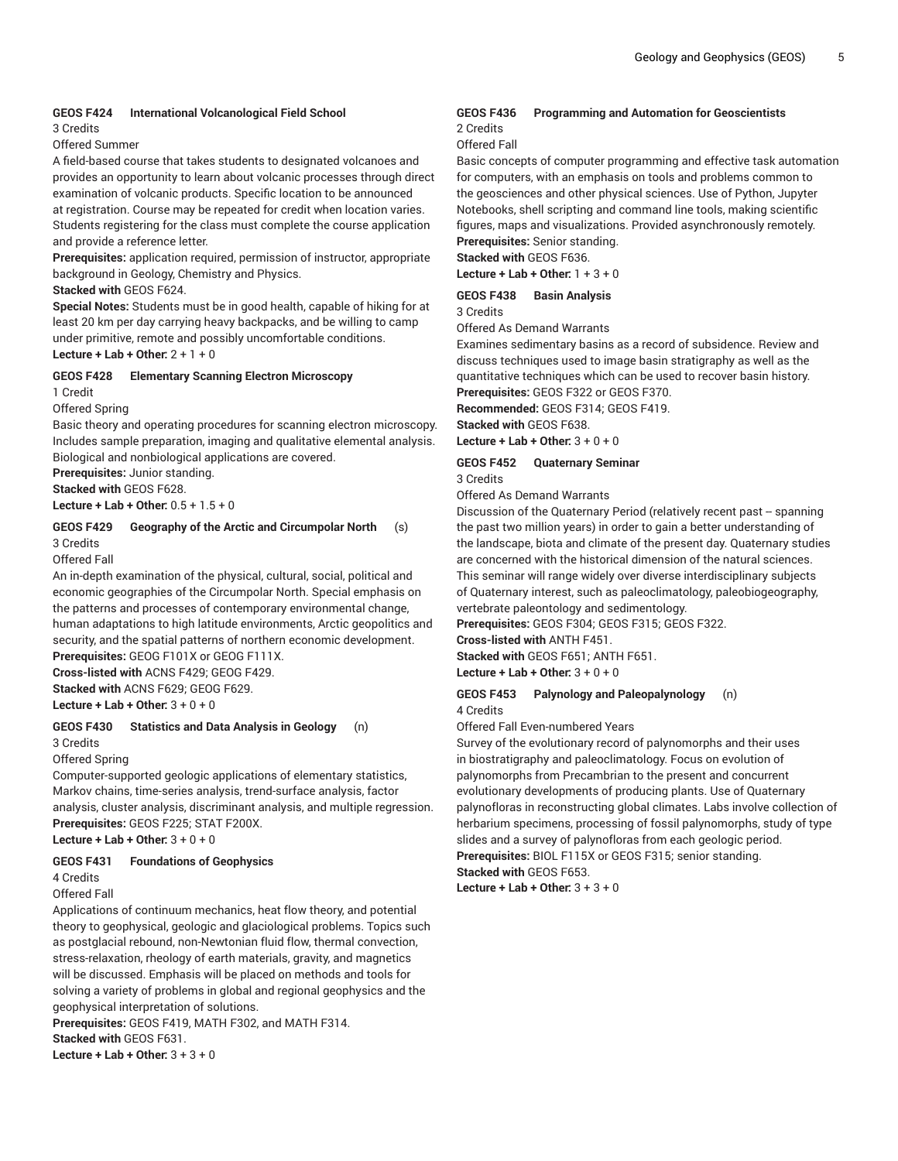#### **GEOS F424 International Volcanological Field School**

3 Credits

Offered Summer

A field-based course that takes students to designated volcanoes and provides an opportunity to learn about volcanic processes through direct examination of volcanic products. Specific location to be announced at registration. Course may be repeated for credit when location varies. Students registering for the class must complete the course application and provide a reference letter.

**Prerequisites:** application required, permission of instructor, appropriate background in Geology, Chemistry and Physics.

#### **Stacked with** GEOS F624.

**Special Notes:** Students must be in good health, capable of hiking for at least 20 km per day carrying heavy backpacks, and be willing to camp under primitive, remote and possibly uncomfortable conditions. **Lecture + Lab + Other:** 2 + 1 + 0

#### **GEOS F428 Elementary Scanning Electron Microscopy**

1 Credit

Offered Spring

Basic theory and operating procedures for scanning electron microscopy. Includes sample preparation, imaging and qualitative elemental analysis. Biological and nonbiological applications are covered.

**Prerequisites:** Junior standing.

**Stacked with** GEOS F628.

**Lecture + Lab + Other:** 0.5 + 1.5 + 0

#### **GEOS F429 Geography of the Arctic and Circumpolar North** (s) 3 Credits

Offered Fall

An in-depth examination of the physical, cultural, social, political and economic geographies of the Circumpolar North. Special emphasis on the patterns and processes of contemporary environmental change, human adaptations to high latitude environments, Arctic geopolitics and security, and the spatial patterns of northern economic development. **Prerequisites:** GEOG F101X or GEOG F111X.

**Cross-listed with** ACNS F429; GEOG F429.

**Stacked with** ACNS F629; GEOG F629.

**Lecture + Lab + Other:** 3 + 0 + 0

#### **GEOS F430 Statistics and Data Analysis in Geology** (n)

3 Credits

Offered Spring

Computer-supported geologic applications of elementary statistics, Markov chains, time-series analysis, trend-surface analysis, factor analysis, cluster analysis, discriminant analysis, and multiple regression. **Prerequisites:** GEOS F225; STAT F200X.

**Lecture + Lab + Other:** 3 + 0 + 0

#### **GEOS F431 Foundations of Geophysics**

4 Credits

Offered Fall

Applications of continuum mechanics, heat flow theory, and potential theory to geophysical, geologic and glaciological problems. Topics such as postglacial rebound, non-Newtonian fluid flow, thermal convection, stress-relaxation, rheology of earth materials, gravity, and magnetics will be discussed. Emphasis will be placed on methods and tools for solving a variety of problems in global and regional geophysics and the geophysical interpretation of solutions.

**Prerequisites:** GEOS F419, MATH F302, and MATH F314. **Stacked with** GEOS F631.

**Lecture + Lab + Other:** 3 + 3 + 0

#### **GEOS F436 Programming and Automation for Geoscientists** 2 Credits

Offered Fall

Basic concepts of computer programming and effective task automation for computers, with an emphasis on tools and problems common to the geosciences and other physical sciences. Use of Python, Jupyter Notebooks, shell scripting and command line tools, making scientific figures, maps and visualizations. Provided asynchronously remotely. **Prerequisites:** Senior standing.

**Stacked with** GEOS F636.

**Lecture + Lab + Other:** 1 + 3 + 0

#### **GEOS F438 Basin Analysis** 3 Credits

Offered As Demand Warrants

Examines sedimentary basins as a record of subsidence. Review and discuss techniques used to image basin stratigraphy as well as the quantitative techniques which can be used to recover basin history. **Prerequisites:** GEOS F322 or GEOS F370.

**Recommended:** GEOS F314; GEOS F419. **Stacked with** GEOS F638.

**Lecture + Lab + Other:** 3 + 0 + 0

#### **GEOS F452 Quaternary Seminar** 3 Credits

Offered As Demand Warrants

Discussion of the Quaternary Period (relatively recent past -- spanning the past two million years) in order to gain a better understanding of the landscape, biota and climate of the present day. Quaternary studies are concerned with the historical dimension of the natural sciences. This seminar will range widely over diverse interdisciplinary subjects of Quaternary interest, such as paleoclimatology, paleobiogeography, vertebrate paleontology and sedimentology.

**Prerequisites:** GEOS F304; GEOS F315; GEOS F322.

**Cross-listed with** ANTH F451.

**Stacked with** GEOS F651; ANTH F651.

**Lecture + Lab + Other:** 3 + 0 + 0

#### **GEOS F453 Palynology and Paleopalynology** (n) 4 Credits

Offered Fall Even-numbered Years

Survey of the evolutionary record of palynomorphs and their uses in biostratigraphy and paleoclimatology. Focus on evolution of palynomorphs from Precambrian to the present and concurrent evolutionary developments of producing plants. Use of Quaternary palynofloras in reconstructing global climates. Labs involve collection of herbarium specimens, processing of fossil palynomorphs, study of type slides and a survey of palynofloras from each geologic period. **Prerequisites:** BIOL F115X or GEOS F315; senior standing. **Stacked with** GEOS F653.

**Lecture + Lab + Other:** 3 + 3 + 0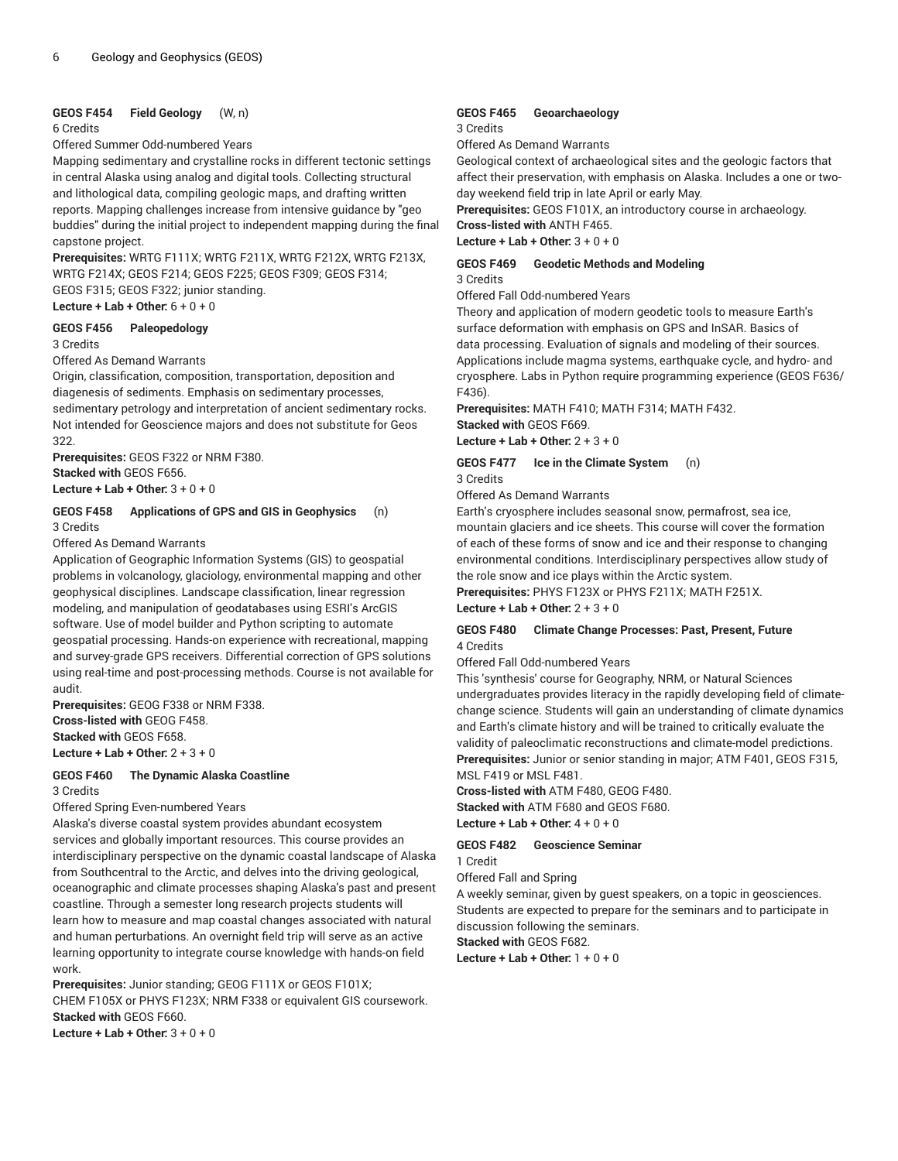#### **GEOS F454 Field Geology** (W, n)

#### 6 Credits

Offered Summer Odd-numbered Years

Mapping sedimentary and crystalline rocks in different tectonic settings in central Alaska using analog and digital tools. Collecting structural and lithological data, compiling geologic maps, and drafting written reports. Mapping challenges increase from intensive guidance by "geo buddies" during the initial project to independent mapping during the final capstone project.

**Prerequisites:** WRTG F111X; WRTG F211X, WRTG F212X, WRTG F213X, WRTG F214X; GEOS F214; GEOS F225; GEOS F309; GEOS F314; GEOS F315; GEOS F322; junior standing. **Lecture + Lab + Other:** 6 + 0 + 0

#### **GEOS F456 Paleopedology**

3 Credits

#### Offered As Demand Warrants

Origin, classification, composition, transportation, deposition and diagenesis of sediments. Emphasis on sedimentary processes, sedimentary petrology and interpretation of ancient sedimentary rocks. Not intended for Geoscience majors and does not substitute for Geos 322.

**Prerequisites:** GEOS F322 or NRM F380. **Stacked with** GEOS F656.

**Lecture + Lab + Other:** 3 + 0 + 0

#### **GEOS F458 Applications of GPS and GIS in Geophysics** (n) 3 Credits

Offered As Demand Warrants

Application of Geographic Information Systems (GIS) to geospatial problems in volcanology, glaciology, environmental mapping and other geophysical disciplines. Landscape classification, linear regression modeling, and manipulation of geodatabases using ESRI's ArcGIS software. Use of model builder and Python scripting to automate geospatial processing. Hands-on experience with recreational, mapping and survey-grade GPS receivers. Differential correction of GPS solutions using real-time and post-processing methods. Course is not available for audit.

**Prerequisites:** GEOG F338 or NRM F338. **Cross-listed with** GEOG F458. **Stacked with** GEOS F658. **Lecture + Lab + Other:** 2 + 3 + 0

# **GEOS F460 The Dynamic Alaska Coastline**

3 Credits

Offered Spring Even-numbered Years

Alaska's diverse coastal system provides abundant ecosystem services and globally important resources. This course provides an interdisciplinary perspective on the dynamic coastal landscape of Alaska from Southcentral to the Arctic, and delves into the driving geological, oceanographic and climate processes shaping Alaska's past and present coastline. Through a semester long research projects students will learn how to measure and map coastal changes associated with natural and human perturbations. An overnight field trip will serve as an active learning opportunity to integrate course knowledge with hands-on field work.

**Prerequisites:** Junior standing; GEOG F111X or GEOS F101X; CHEM F105X or PHYS F123X; NRM F338 or equivalent GIS coursework. **Stacked with** GEOS F660.

**Lecture + Lab + Other:** 3 + 0 + 0

# **GEOS F465 Geoarchaeology**

#### 3 Credits

Offered As Demand Warrants

Geological context of archaeological sites and the geologic factors that affect their preservation, with emphasis on Alaska. Includes a one or twoday weekend field trip in late April or early May.

**Prerequisites:** GEOS F101X, an introductory course in archaeology.

**Cross-listed with** ANTH F465.

**Lecture + Lab + Other:** 3 + 0 + 0

#### **GEOS F469 Geodetic Methods and Modeling** 3 Credits

Offered Fall Odd-numbered Years

Theory and application of modern geodetic tools to measure Earth's surface deformation with emphasis on GPS and InSAR. Basics of data processing. Evaluation of signals and modeling of their sources. Applications include magma systems, earthquake cycle, and hydro- and cryosphere. Labs in Python require programming experience (GEOS F636/ F436).

**Prerequisites:** MATH F410; MATH F314; MATH F432. **Stacked with** GEOS F669.

**Lecture + Lab + Other:** 2 + 3 + 0

**GEOS F477 Ice in the Climate System** (n) 3 Credits

Offered As Demand Warrants

Earth's cryosphere includes seasonal snow, permafrost, sea ice, mountain glaciers and ice sheets. This course will cover the formation of each of these forms of snow and ice and their response to changing environmental conditions. Interdisciplinary perspectives allow study of the role snow and ice plays within the Arctic system.

**Prerequisites:** PHYS F123X or PHYS F211X; MATH F251X.

**Lecture + Lab + Other:** 2 + 3 + 0

#### **GEOS F480 Climate Change Processes: Past, Present, Future** 4 Credits

Offered Fall Odd-numbered Years

This 'synthesis' course for Geography, NRM, or Natural Sciences undergraduates provides literacy in the rapidly developing field of climatechange science. Students will gain an understanding of climate dynamics and Earth's climate history and will be trained to critically evaluate the validity of paleoclimatic reconstructions and climate-model predictions. **Prerequisites:** Junior or senior standing in major; ATM F401, GEOS F315, MSL F419 or MSL F481.

**Cross-listed with** ATM F480, GEOG F480.

**Stacked with** ATM F680 and GEOS F680. **Lecture + Lab + Other:** 4 + 0 + 0

#### **GEOS F482 Geoscience Seminar**

1 Credit

Offered Fall and Spring

A weekly seminar, given by guest speakers, on a topic in geosciences. Students are expected to prepare for the seminars and to participate in discussion following the seminars.

**Stacked with** GEOS F682.

**Lecture + Lab + Other:** 1 + 0 + 0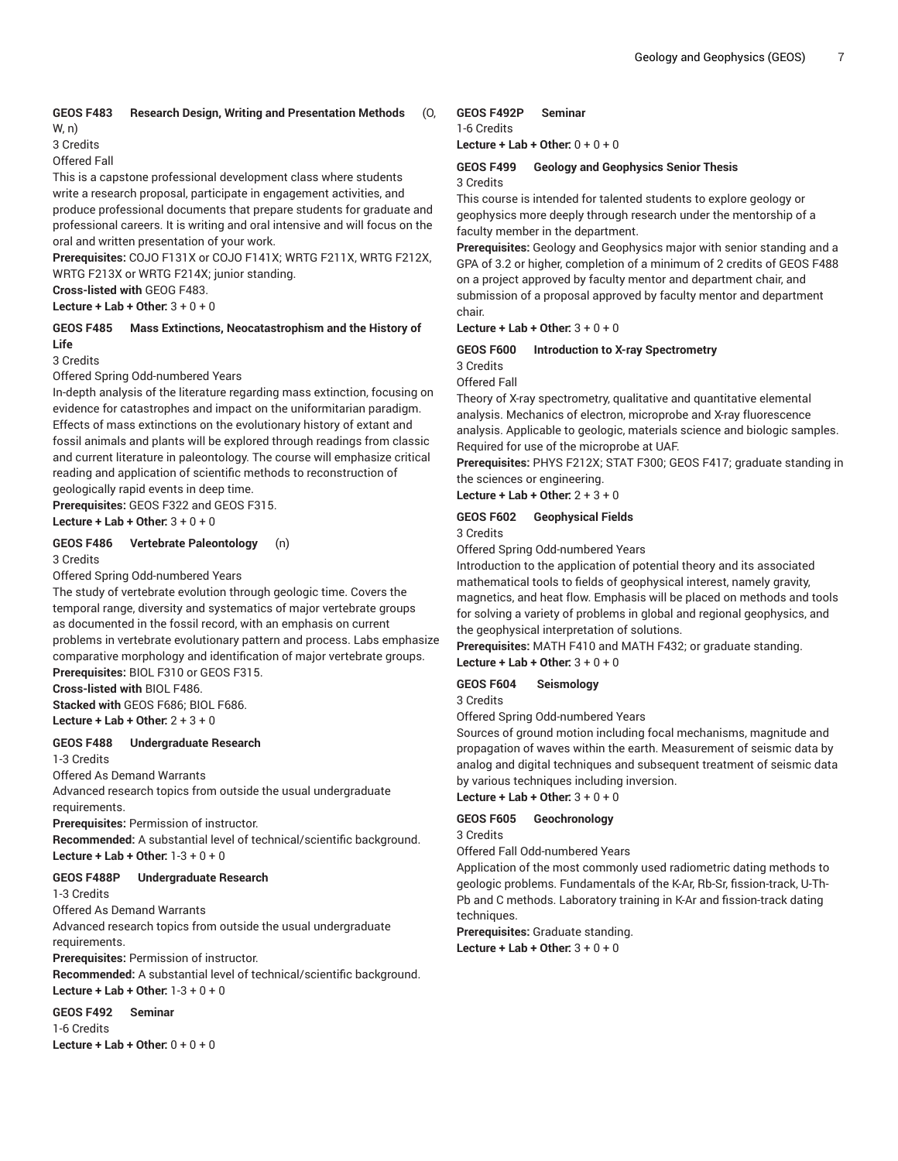# **GEOS F483 Research Design, Writing and Presentation Methods** (O,

W, n) 3 Credits

Offered Fall

This is a capstone professional development class where students write a research proposal, participate in engagement activities, and produce professional documents that prepare students for graduate and professional careers. It is writing and oral intensive and will focus on the oral and written presentation of your work.

**Prerequisites:** COJO F131X or COJO F141X; WRTG F211X, WRTG F212X, WRTG F213X or WRTG F214X; junior standing.

**Cross-listed with** GEOG F483. **Lecture + Lab + Other:** 3 + 0 + 0

#### **GEOS F485 Mass Extinctions, Neocatastrophism and the History of Life**

# 3 Credits

Offered Spring Odd-numbered Years

In-depth analysis of the literature regarding mass extinction, focusing on evidence for catastrophes and impact on the uniformitarian paradigm. Effects of mass extinctions on the evolutionary history of extant and fossil animals and plants will be explored through readings from classic and current literature in paleontology. The course will emphasize critical reading and application of scientific methods to reconstruction of geologically rapid events in deep time.

**Prerequisites:** GEOS F322 and GEOS F315. **Lecture + Lab + Other:** 3 + 0 + 0

#### **GEOS F486 Vertebrate Paleontology** (n) 3 Credits

Offered Spring Odd-numbered Years

The study of vertebrate evolution through geologic time. Covers the temporal range, diversity and systematics of major vertebrate groups as documented in the fossil record, with an emphasis on current problems in vertebrate evolutionary pattern and process. Labs emphasize comparative morphology and identification of major vertebrate groups. **Prerequisites:** BIOL F310 or GEOS F315.

**Cross-listed with** BIOL F486.

**Stacked with** GEOS F686; BIOL F686.

**Lecture + Lab + Other:** 2 + 3 + 0

#### **GEOS F488 Undergraduate Research**

1-3 Credits

Offered As Demand Warrants

Advanced research topics from outside the usual undergraduate requirements.

**Prerequisites:** Permission of instructor.

**Recommended:** A substantial level of technical/scientific background. **Lecture + Lab + Other:** 1-3 + 0 + 0

#### **GEOS F488P Undergraduate Research**

1-3 Credits

Offered As Demand Warrants

Advanced research topics from outside the usual undergraduate requirements.

**Prerequisites:** Permission of instructor.

**Recommended:** A substantial level of technical/scientific background. **Lecture + Lab + Other:** 1-3 + 0 + 0

#### **GEOS F492 Seminar**

1-6 Credits **Lecture + Lab + Other:** 0 + 0 + 0

#### **GEOS F492P Seminar**

1-6 Credits

**Lecture + Lab + Other:** 0 + 0 + 0

#### **GEOS F499 Geology and Geophysics Senior Thesis** 3 Credits

This course is intended for talented students to explore geology or geophysics more deeply through research under the mentorship of a faculty member in the department.

**Prerequisites:** Geology and Geophysics major with senior standing and a GPA of 3.2 or higher, completion of a minimum of 2 credits of GEOS F488 on a project approved by faculty mentor and department chair, and submission of a proposal approved by faculty mentor and department chair.

**Lecture + Lab + Other:** 3 + 0 + 0

# **GEOS F600 Introduction to X-ray Spectrometry**

3 Credits Offered Fall

Theory of X-ray spectrometry, qualitative and quantitative elemental analysis. Mechanics of electron, microprobe and X-ray fluorescence analysis. Applicable to geologic, materials science and biologic samples. Required for use of the microprobe at UAF.

**Prerequisites:** PHYS F212X; STAT F300; GEOS F417; graduate standing in the sciences or engineering.

**Lecture + Lab + Other:** 2 + 3 + 0

# **GEOS F602 Geophysical Fields**

3 Credits

Offered Spring Odd-numbered Years

Introduction to the application of potential theory and its associated mathematical tools to fields of geophysical interest, namely gravity, magnetics, and heat flow. Emphasis will be placed on methods and tools for solving a variety of problems in global and regional geophysics, and the geophysical interpretation of solutions.

**Prerequisites:** MATH F410 and MATH F432; or graduate standing. **Lecture + Lab + Other:** 3 + 0 + 0

### **GEOS F604 Seismology**

3 Credits

Offered Spring Odd-numbered Years

Sources of ground motion including focal mechanisms, magnitude and propagation of waves within the earth. Measurement of seismic data by analog and digital techniques and subsequent treatment of seismic data by various techniques including inversion.

**Lecture + Lab + Other:** 3 + 0 + 0

### **GEOS F605 Geochronology**

3 Credits

Offered Fall Odd-numbered Years

Application of the most commonly used radiometric dating methods to geologic problems. Fundamentals of the K-Ar, Rb-Sr, fission-track, U-Th-Pb and C methods. Laboratory training in K-Ar and fission-track dating techniques.

**Prerequisites:** Graduate standing. **Lecture + Lab + Other:** 3 + 0 + 0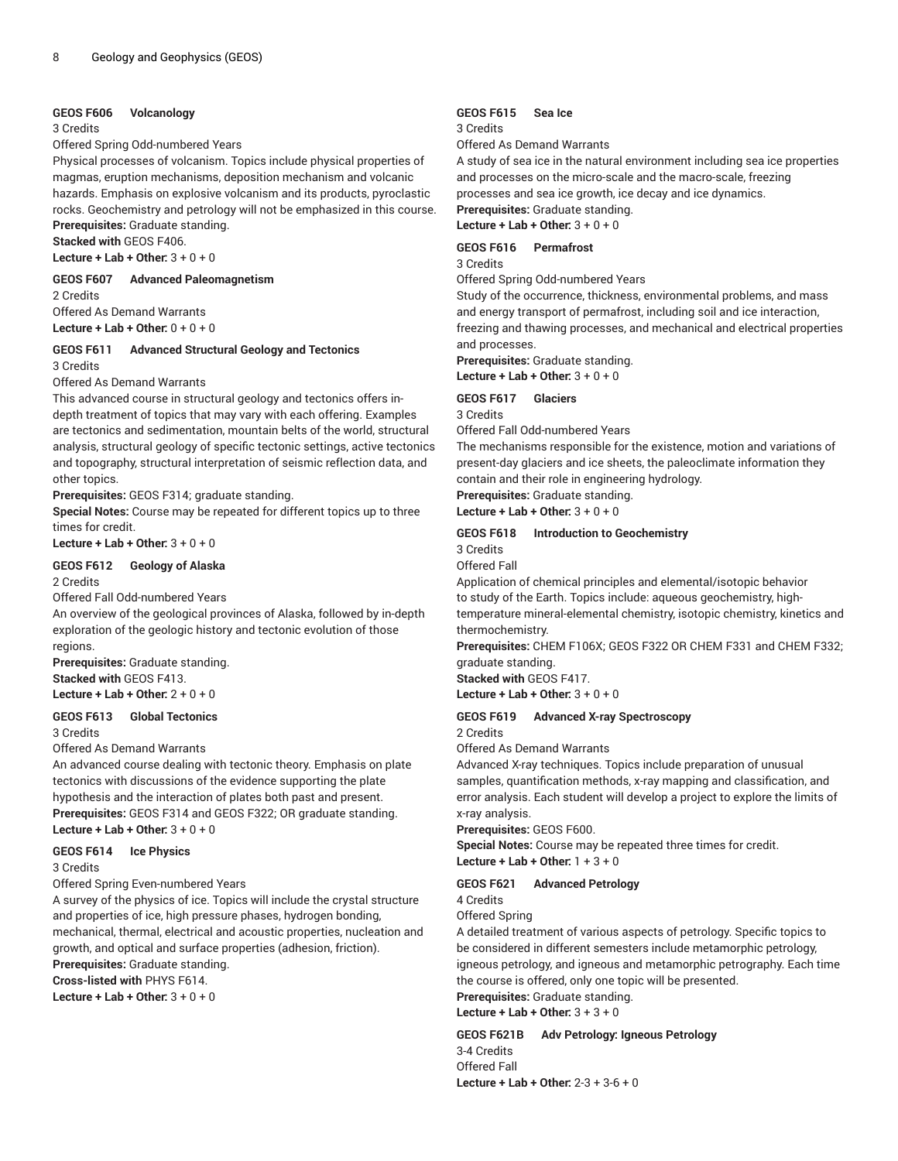#### **GEOS F606 Volcanology**

#### 3 Credits

Offered Spring Odd-numbered Years

Physical processes of volcanism. Topics include physical properties of magmas, eruption mechanisms, deposition mechanism and volcanic hazards. Emphasis on explosive volcanism and its products, pyroclastic rocks. Geochemistry and petrology will not be emphasized in this course.

**Prerequisites:** Graduate standing. **Stacked with** GEOS F406.

**Lecture + Lab + Other:** 3 + 0 + 0

**GEOS F607 Advanced Paleomagnetism**

2 Credits

Offered As Demand Warrants **Lecture + Lab + Other:** 0 + 0 + 0

#### **GEOS F611 Advanced Structural Geology and Tectonics** 3 Credits

Offered As Demand Warrants

This advanced course in structural geology and tectonics offers indepth treatment of topics that may vary with each offering. Examples are tectonics and sedimentation, mountain belts of the world, structural analysis, structural geology of specific tectonic settings, active tectonics and topography, structural interpretation of seismic reflection data, and other topics.

**Prerequisites:** GEOS F314; graduate standing.

**Special Notes:** Course may be repeated for different topics up to three times for credit.

**Lecture + Lab + Other:** 3 + 0 + 0

#### **GEOS F612 Geology of Alaska**

2 Credits

Offered Fall Odd-numbered Years

An overview of the geological provinces of Alaska, followed by in-depth exploration of the geologic history and tectonic evolution of those regions.

**Prerequisites:** Graduate standing. **Stacked with** GEOS F413.

**Lecture + Lab + Other:** 2 + 0 + 0

#### **GEOS F613 Global Tectonics**

3 Credits

#### Offered As Demand Warrants

An advanced course dealing with tectonic theory. Emphasis on plate tectonics with discussions of the evidence supporting the plate hypothesis and the interaction of plates both past and present. **Prerequisites:** GEOS F314 and GEOS F322; OR graduate standing. **Lecture + Lab + Other:** 3 + 0 + 0

#### **GEOS F614 Ice Physics**

3 Credits

Offered Spring Even-numbered Years

A survey of the physics of ice. Topics will include the crystal structure and properties of ice, high pressure phases, hydrogen bonding, mechanical, thermal, electrical and acoustic properties, nucleation and growth, and optical and surface properties (adhesion, friction).

**Prerequisites:** Graduate standing.

**Cross-listed with** PHYS F614.

**Lecture + Lab + Other:** 3 + 0 + 0

#### **GEOS F615 Sea Ice**

#### 3 Credits

Offered As Demand Warrants

A study of sea ice in the natural environment including sea ice properties and processes on the micro-scale and the macro-scale, freezing processes and sea ice growth, ice decay and ice dynamics. **Prerequisites:** Graduate standing.

**Lecture + Lab + Other:** 3 + 0 + 0

#### **GEOS F616 Permafrost**

3 Credits Offered Spring Odd-numbered Years

Study of the occurrence, thickness, environmental problems, and mass and energy transport of permafrost, including soil and ice interaction, freezing and thawing processes, and mechanical and electrical properties and processes.

**Prerequisites:** Graduate standing. **Lecture + Lab + Other:** 3 + 0 + 0

#### **GEOS F617 Glaciers**

3 Credits

Offered Fall Odd-numbered Years

The mechanisms responsible for the existence, motion and variations of present-day glaciers and ice sheets, the paleoclimate information they contain and their role in engineering hydrology.

**Prerequisites:** Graduate standing.

**Lecture + Lab + Other:** 3 + 0 + 0

#### **GEOS F618 Introduction to Geochemistry**

3 Credits Offered Fall

Application of chemical principles and elemental/isotopic behavior to study of the Earth. Topics include: aqueous geochemistry, hightemperature mineral-elemental chemistry, isotopic chemistry, kinetics and thermochemistry.

**Prerequisites:** CHEM F106X; GEOS F322 OR CHEM F331 and CHEM F332; graduate standing.

**Stacked with** GEOS F417.

**Lecture + Lab + Other:** 3 + 0 + 0

#### **GEOS F619 Advanced X-ray Spectroscopy**

2 Credits

Offered As Demand Warrants

Advanced X-ray techniques. Topics include preparation of unusual samples, quantification methods, x-ray mapping and classification, and error analysis. Each student will develop a project to explore the limits of x-ray analysis.

**Prerequisites:** GEOS F600.

**Special Notes:** Course may be repeated three times for credit.

**Lecture + Lab + Other:** 1 + 3 + 0

#### **GEOS F621 Advanced Petrology**

4 Credits

Offered Spring

A detailed treatment of various aspects of petrology. Specific topics to be considered in different semesters include metamorphic petrology, igneous petrology, and igneous and metamorphic petrography. Each time the course is offered, only one topic will be presented.

**Prerequisites:** Graduate standing. **Lecture + Lab + Other:** 3 + 3 + 0

**GEOS F621B Adv Petrology: Igneous Petrology**

3-4 Credits Offered Fall **Lecture + Lab + Other:** 2-3 + 3-6 + 0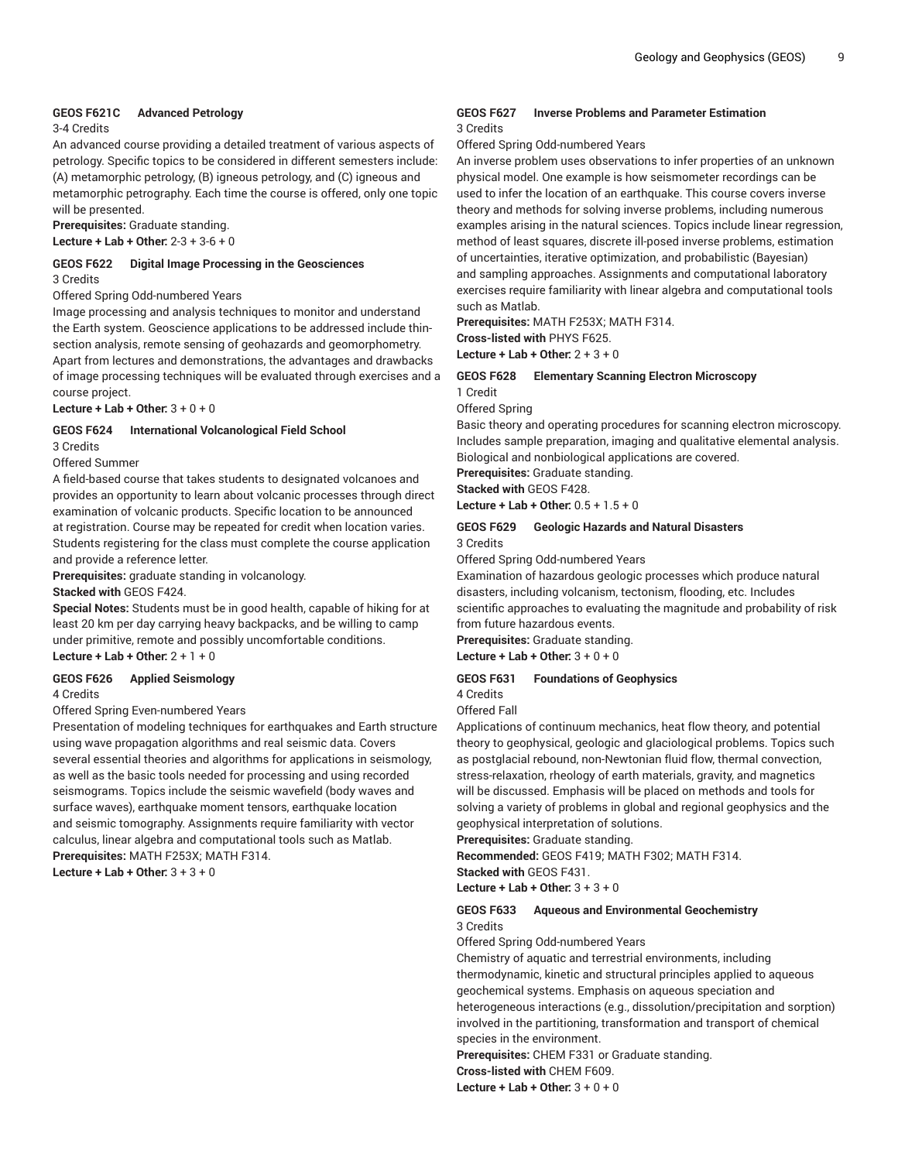#### **GEOS F621C Advanced Petrology**

#### 3-4 Credits

An advanced course providing a detailed treatment of various aspects of petrology. Specific topics to be considered in different semesters include: (A) metamorphic petrology, (B) igneous petrology, and (C) igneous and metamorphic petrography. Each time the course is offered, only one topic will be presented.

**Prerequisites:** Graduate standing. **Lecture + Lab + Other:** 2-3 + 3-6 + 0

**GEOS F622 Digital Image Processing in the Geosciences** 3 Credits

Offered Spring Odd-numbered Years

Image processing and analysis techniques to monitor and understand the Earth system. Geoscience applications to be addressed include thinsection analysis, remote sensing of geohazards and geomorphometry. Apart from lectures and demonstrations, the advantages and drawbacks of image processing techniques will be evaluated through exercises and a course project.

**Lecture + Lab + Other:** 3 + 0 + 0

#### **GEOS F624 International Volcanological Field School**

3 Credits

Offered Summer

A field-based course that takes students to designated volcanoes and provides an opportunity to learn about volcanic processes through direct examination of volcanic products. Specific location to be announced at registration. Course may be repeated for credit when location varies. Students registering for the class must complete the course application and provide a reference letter.

**Prerequisites:** graduate standing in volcanology. **Stacked with** GEOS F424.

**Special Notes:** Students must be in good health, capable of hiking for at least 20 km per day carrying heavy backpacks, and be willing to camp under primitive, remote and possibly uncomfortable conditions. **Lecture + Lab + Other:** 2 + 1 + 0

#### **GEOS F626 Applied Seismology**

4 Credits

#### Offered Spring Even-numbered Years

Presentation of modeling techniques for earthquakes and Earth structure using wave propagation algorithms and real seismic data. Covers several essential theories and algorithms for applications in seismology, as well as the basic tools needed for processing and using recorded seismograms. Topics include the seismic wavefield (body waves and surface waves), earthquake moment tensors, earthquake location and seismic tomography. Assignments require familiarity with vector calculus, linear algebra and computational tools such as Matlab. **Prerequisites:** MATH F253X; MATH F314.

**Lecture + Lab + Other:** 3 + 3 + 0

#### **GEOS F627 Inverse Problems and Parameter Estimation** 3 Credits

Offered Spring Odd-numbered Years

An inverse problem uses observations to infer properties of an unknown physical model. One example is how seismometer recordings can be used to infer the location of an earthquake. This course covers inverse theory and methods for solving inverse problems, including numerous examples arising in the natural sciences. Topics include linear regression, method of least squares, discrete ill-posed inverse problems, estimation of uncertainties, iterative optimization, and probabilistic (Bayesian) and sampling approaches. Assignments and computational laboratory exercises require familiarity with linear algebra and computational tools such as Matlab.

**Prerequisites:** MATH F253X; MATH F314. **Cross-listed with** PHYS F625. **Lecture + Lab + Other:** 2 + 3 + 0

#### **GEOS F628 Elementary Scanning Electron Microscopy** 1 Credit

Offered Spring

Basic theory and operating procedures for scanning electron microscopy. Includes sample preparation, imaging and qualitative elemental analysis. Biological and nonbiological applications are covered.

**Prerequisites:** Graduate standing.

**Stacked with** GEOS F428. **Lecture + Lab + Other:** 0.5 + 1.5 + 0

#### **GEOS F629 Geologic Hazards and Natural Disasters** 3 Credits

Offered Spring Odd-numbered Years

Examination of hazardous geologic processes which produce natural disasters, including volcanism, tectonism, flooding, etc. Includes scientific approaches to evaluating the magnitude and probability of risk from future hazardous events.

**Prerequisites:** Graduate standing.

**Lecture + Lab + Other:** 3 + 0 + 0

# **GEOS F631 Foundations of Geophysics**

4 Credits Offered Fall

Applications of continuum mechanics, heat flow theory, and potential theory to geophysical, geologic and glaciological problems. Topics such as postglacial rebound, non-Newtonian fluid flow, thermal convection, stress-relaxation, rheology of earth materials, gravity, and magnetics will be discussed. Emphasis will be placed on methods and tools for solving a variety of problems in global and regional geophysics and the geophysical interpretation of solutions.

**Prerequisites:** Graduate standing.

**Recommended:** GEOS F419; MATH F302; MATH F314. **Stacked with** GEOS F431.

**Lecture + Lab + Other:** 3 + 3 + 0

#### **GEOS F633 Aqueous and Environmental Geochemistry** 3 Credits

Offered Spring Odd-numbered Years

Chemistry of aquatic and terrestrial environments, including thermodynamic, kinetic and structural principles applied to aqueous geochemical systems. Emphasis on aqueous speciation and heterogeneous interactions (e.g., dissolution/precipitation and sorption) involved in the partitioning, transformation and transport of chemical species in the environment.

**Prerequisites:** CHEM F331 or Graduate standing.

**Cross-listed with** CHEM F609.

**Lecture + Lab + Other:** 3 + 0 + 0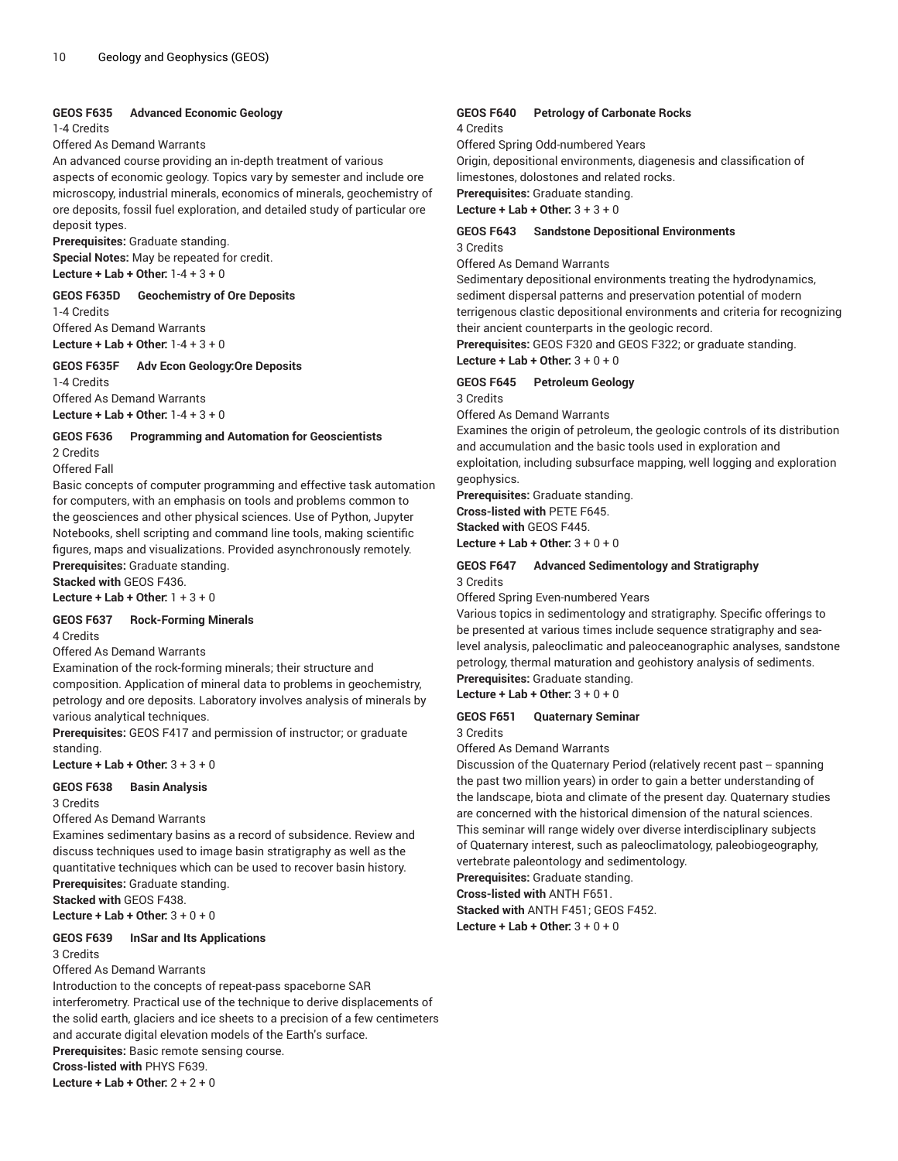#### **GEOS F635 Advanced Economic Geology**

#### 1-4 Credits

Offered As Demand Warrants

An advanced course providing an in-depth treatment of various aspects of economic geology. Topics vary by semester and include ore microscopy, industrial minerals, economics of minerals, geochemistry of ore deposits, fossil fuel exploration, and detailed study of particular ore deposit types.

**Prerequisites:** Graduate standing. **Special Notes:** May be repeated for credit. **Lecture + Lab + Other:** 1-4 + 3 + 0

**GEOS F635D Geochemistry of Ore Deposits**

1-4 Credits Offered As Demand Warrants **Lecture + Lab + Other:** 1-4 + 3 + 0

#### **GEOS F635F Adv Econ Geology:Ore Deposits**

1-4 Credits Offered As Demand Warrants **Lecture + Lab + Other:** 1-4 + 3 + 0

#### **GEOS F636 Programming and Automation for Geoscientists**

2 Credits

Offered Fall

Basic concepts of computer programming and effective task automation for computers, with an emphasis on tools and problems common to the geosciences and other physical sciences. Use of Python, Jupyter Notebooks, shell scripting and command line tools, making scientific figures, maps and visualizations. Provided asynchronously remotely. **Prerequisites:** Graduate standing.

**Stacked with** GEOS F436.

**Lecture + Lab + Other:** 1 + 3 + 0

# **GEOS F637 Rock-Forming Minerals**

4 Credits

Offered As Demand Warrants

Examination of the rock-forming minerals; their structure and composition. Application of mineral data to problems in geochemistry, petrology and ore deposits. Laboratory involves analysis of minerals by various analytical techniques.

**Prerequisites:** GEOS F417 and permission of instructor; or graduate standing.

**Lecture + Lab + Other:** 3 + 3 + 0

**GEOS F638 Basin Analysis**

3 Credits

Offered As Demand Warrants

Examines sedimentary basins as a record of subsidence. Review and discuss techniques used to image basin stratigraphy as well as the quantitative techniques which can be used to recover basin history. **Prerequisites:** Graduate standing.

**Stacked with** GEOS F438.

**Lecture + Lab + Other:** 3 + 0 + 0

#### **GEOS F639 InSar and Its Applications**

3 Credits

Offered As Demand Warrants

Introduction to the concepts of repeat-pass spaceborne SAR interferometry. Practical use of the technique to derive displacements of the solid earth, glaciers and ice sheets to a precision of a few centimeters and accurate digital elevation models of the Earth's surface. **Prerequisites:** Basic remote sensing course.

**Cross-listed with** PHYS F639.

**Lecture + Lab + Other:** 2 + 2 + 0

#### **GEOS F640 Petrology of Carbonate Rocks** 4 Credits

Offered Spring Odd-numbered Years

Origin, depositional environments, diagenesis and classification of limestones, dolostones and related rocks.

**Prerequisites:** Graduate standing.

**Lecture + Lab + Other:** 3 + 3 + 0

#### **GEOS F643 Sandstone Depositional Environments** 3 Credits

Offered As Demand Warrants

Sedimentary depositional environments treating the hydrodynamics, sediment dispersal patterns and preservation potential of modern terrigenous clastic depositional environments and criteria for recognizing their ancient counterparts in the geologic record.

**Prerequisites:** GEOS F320 and GEOS F322; or graduate standing. **Lecture + Lab + Other:** 3 + 0 + 0

#### **GEOS F645 Petroleum Geology**

3 Credits

Offered As Demand Warrants

Examines the origin of petroleum, the geologic controls of its distribution and accumulation and the basic tools used in exploration and exploitation, including subsurface mapping, well logging and exploration geophysics.

**Prerequisites:** Graduate standing. **Cross-listed with** PETE F645.

**Stacked with** GEOS F445.

**Lecture + Lab + Other:** 3 + 0 + 0

#### **GEOS F647 Advanced Sedimentology and Stratigraphy** 3 Credits

Offered Spring Even-numbered Years

Various topics in sedimentology and stratigraphy. Specific offerings to be presented at various times include sequence stratigraphy and sealevel analysis, paleoclimatic and paleoceanographic analyses, sandstone petrology, thermal maturation and geohistory analysis of sediments. **Prerequisites:** Graduate standing.

**Lecture + Lab + Other:** 3 + 0 + 0

#### **GEOS F651 Quaternary Seminar** 3 Credits

Offered As Demand Warrants

Discussion of the Quaternary Period (relatively recent past -- spanning the past two million years) in order to gain a better understanding of the landscape, biota and climate of the present day. Quaternary studies are concerned with the historical dimension of the natural sciences. This seminar will range widely over diverse interdisciplinary subjects of Quaternary interest, such as paleoclimatology, paleobiogeography, vertebrate paleontology and sedimentology.

**Prerequisites:** Graduate standing.

**Cross-listed with** ANTH F651.

**Stacked with** ANTH F451; GEOS F452. **Lecture + Lab + Other:** 3 + 0 + 0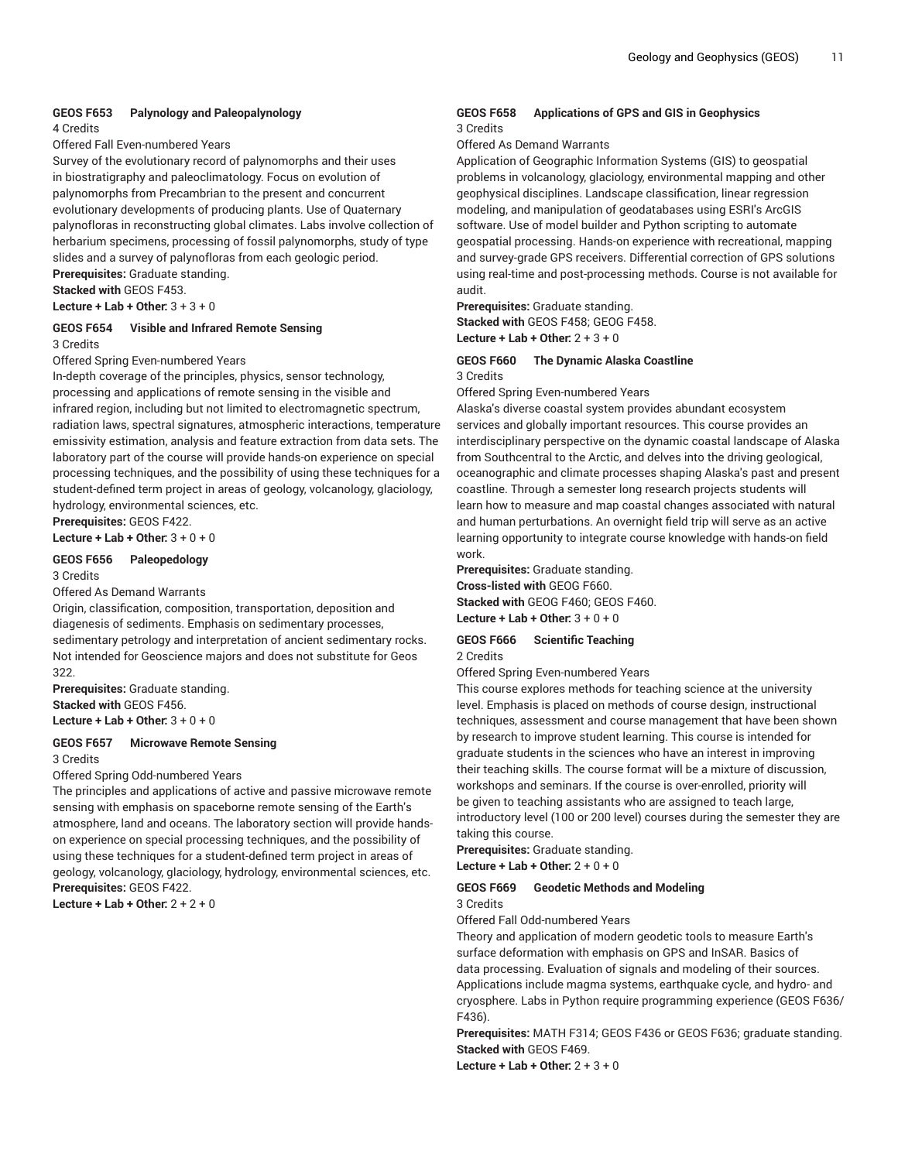# **GEOS F653 Palynology and Paleopalynology**

4 Credits

Offered Fall Even-numbered Years

Survey of the evolutionary record of palynomorphs and their uses in biostratigraphy and paleoclimatology. Focus on evolution of palynomorphs from Precambrian to the present and concurrent evolutionary developments of producing plants. Use of Quaternary palynofloras in reconstructing global climates. Labs involve collection of herbarium specimens, processing of fossil palynomorphs, study of type slides and a survey of palynofloras from each geologic period.

**Prerequisites:** Graduate standing.

**Stacked with** GEOS F453.

**Lecture + Lab + Other:** 3 + 3 + 0

#### **GEOS F654 Visible and Infrared Remote Sensing** 3 Credits

Offered Spring Even-numbered Years

In-depth coverage of the principles, physics, sensor technology, processing and applications of remote sensing in the visible and infrared region, including but not limited to electromagnetic spectrum, radiation laws, spectral signatures, atmospheric interactions, temperature emissivity estimation, analysis and feature extraction from data sets. The laboratory part of the course will provide hands-on experience on special processing techniques, and the possibility of using these techniques for a student-defined term project in areas of geology, volcanology, glaciology, hydrology, environmental sciences, etc.

**Prerequisites:** GEOS F422.

# **Lecture + Lab + Other:** 3 + 0 + 0

#### **GEOS F656 Paleopedology**

3 Credits

Offered As Demand Warrants

Origin, classification, composition, transportation, deposition and diagenesis of sediments. Emphasis on sedimentary processes, sedimentary petrology and interpretation of ancient sedimentary rocks. Not intended for Geoscience majors and does not substitute for Geos 322.

**Prerequisites:** Graduate standing.

**Stacked with** GEOS F456. **Lecture + Lab + Other:** 3 + 0 + 0

#### **GEOS F657 Microwave Remote Sensing** 3 Credits

Offered Spring Odd-numbered Years

The principles and applications of active and passive microwave remote sensing with emphasis on spaceborne remote sensing of the Earth's atmosphere, land and oceans. The laboratory section will provide handson experience on special processing techniques, and the possibility of using these techniques for a student-defined term project in areas of geology, volcanology, glaciology, hydrology, environmental sciences, etc. **Prerequisites:** GEOS F422.

**Lecture + Lab + Other:** 2 + 2 + 0

#### **GEOS F658 Applications of GPS and GIS in Geophysics** 3 Credits

Offered As Demand Warrants

Application of Geographic Information Systems (GIS) to geospatial problems in volcanology, glaciology, environmental mapping and other geophysical disciplines. Landscape classification, linear regression modeling, and manipulation of geodatabases using ESRI's ArcGIS software. Use of model builder and Python scripting to automate geospatial processing. Hands-on experience with recreational, mapping and survey-grade GPS receivers. Differential correction of GPS solutions using real-time and post-processing methods. Course is not available for audit.

**Prerequisites:** Graduate standing. **Stacked with** GEOS F458; GEOG F458. **Lecture + Lab + Other:** 2 + 3 + 0

**GEOS F660 The Dynamic Alaska Coastline** 3 Credits

Offered Spring Even-numbered Years

Alaska's diverse coastal system provides abundant ecosystem services and globally important resources. This course provides an interdisciplinary perspective on the dynamic coastal landscape of Alaska from Southcentral to the Arctic, and delves into the driving geological, oceanographic and climate processes shaping Alaska's past and present coastline. Through a semester long research projects students will learn how to measure and map coastal changes associated with natural and human perturbations. An overnight field trip will serve as an active learning opportunity to integrate course knowledge with hands-on field work.

**Prerequisites:** Graduate standing. **Cross-listed with** GEOG F660. **Stacked with** GEOG F460; GEOS F460. **Lecture + Lab + Other:** 3 + 0 + 0

#### **GEOS F666 Scientific Teaching** 2 Credits

Offered Spring Even-numbered Years

This course explores methods for teaching science at the university level. Emphasis is placed on methods of course design, instructional techniques, assessment and course management that have been shown by research to improve student learning. This course is intended for graduate students in the sciences who have an interest in improving their teaching skills. The course format will be a mixture of discussion, workshops and seminars. If the course is over-enrolled, priority will be given to teaching assistants who are assigned to teach large, introductory level (100 or 200 level) courses during the semester they are taking this course.

**Prerequisites:** Graduate standing.

**Lecture + Lab + Other:** 2 + 0 + 0

#### **GEOS F669 Geodetic Methods and Modeling** 3 Credits

Offered Fall Odd-numbered Years

Theory and application of modern geodetic tools to measure Earth's surface deformation with emphasis on GPS and InSAR. Basics of data processing. Evaluation of signals and modeling of their sources. Applications include magma systems, earthquake cycle, and hydro- and cryosphere. Labs in Python require programming experience (GEOS F636/ F436).

**Prerequisites:** MATH F314; GEOS F436 or GEOS F636; graduate standing. **Stacked with** GEOS F469.

**Lecture + Lab + Other:** 2 + 3 + 0